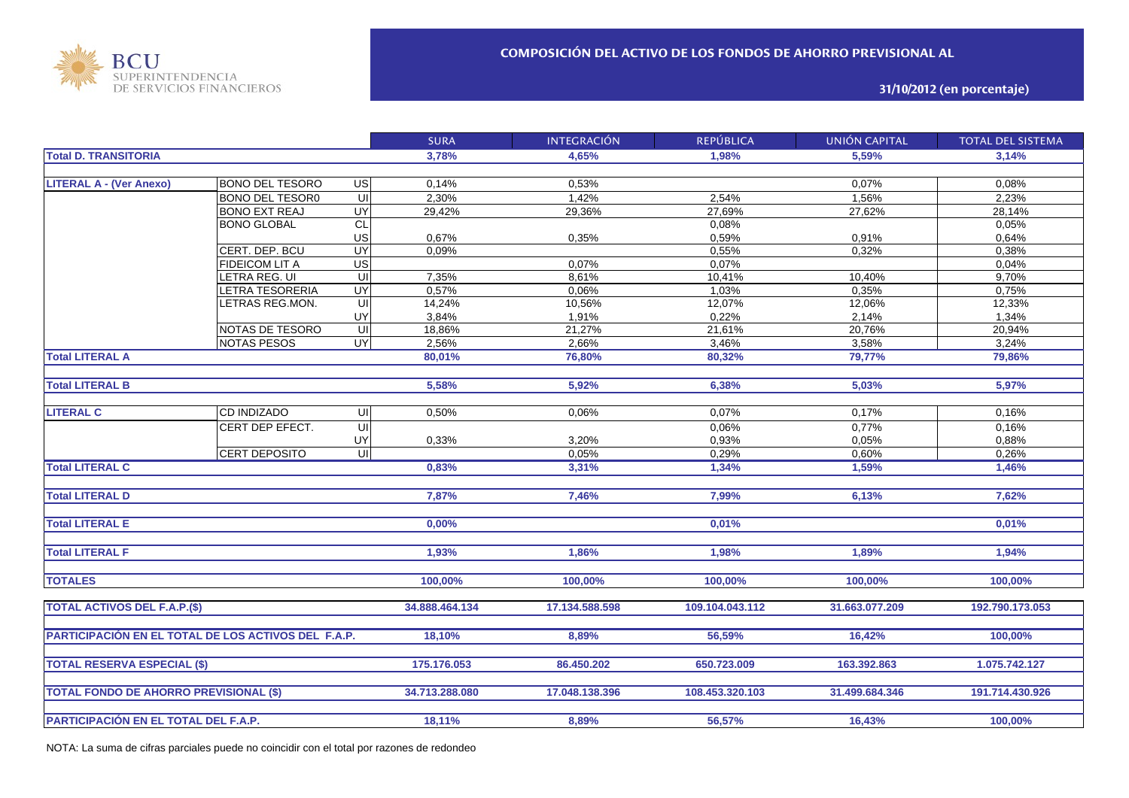

**31/10/2012 (en porcentaje)**

|                                                     |                        |                         | <b>SURA</b>    | <b>INTEGRACIÓN</b> | <b>REPÚBLICA</b> | UNIÓN CAPITAL  | <b>TOTAL DEL SISTEMA</b> |
|-----------------------------------------------------|------------------------|-------------------------|----------------|--------------------|------------------|----------------|--------------------------|
| <b>Total D. TRANSITORIA</b>                         |                        |                         | 3,78%          | 4,65%              | 1.98%            | 5.59%          | 3,14%                    |
|                                                     |                        |                         |                |                    |                  |                |                          |
| <b>LITERAL A - (Ver Anexo)</b>                      | <b>BONO DEL TESORO</b> | US                      | 0,14%          | 0,53%              |                  | 0,07%          | 0.08%                    |
|                                                     | <b>BONO DEL TESOR0</b> | UI                      | 2,30%          | 1,42%              | 2.54%            | 1,56%          | 2,23%                    |
|                                                     | <b>BONO EXT REAJ</b>   | UY                      | 29,42%         | 29,36%             | 27,69%           | 27,62%         | 28,14%                   |
|                                                     | <b>BONO GLOBAL</b>     | CL                      |                |                    | 0,08%            |                | 0,05%                    |
|                                                     |                        | US                      | 0,67%          | 0,35%              | 0,59%            | 0,91%          | 0,64%                    |
|                                                     | CERT. DEP. BCU         | UY                      | 0,09%          |                    | 0,55%            | 0,32%          | 0,38%                    |
|                                                     | <b>FIDEICOM LIT A</b>  | $\overline{US}$         |                | 0,07%              | 0,07%            |                | 0,04%                    |
|                                                     | LETRA REG. UI          | UI                      | 7,35%          | 8,61%              | 10,41%           | 10,40%         | 9,70%                    |
|                                                     | LETRA TESORERIA        | UY                      | 0,57%          | 0,06%              | 1,03%            | 0,35%          | 0,75%                    |
|                                                     | LETRAS REG.MON.        | UI                      | 14,24%         | 10,56%             | 12,07%           | 12,06%         | 12,33%                   |
|                                                     |                        | UY                      | 3,84%          | 1,91%              | 0,22%            | 2,14%          | 1,34%                    |
|                                                     | NOTAS DE TESORO        | $\overline{\mathsf{C}}$ | 18,86%         | 21,27%             | 21,61%           | 20,76%         | 20,94%                   |
|                                                     | <b>NOTAS PESOS</b>     | UY                      | 2,56%          | 2,66%              | 3,46%            | 3,58%          | 3,24%                    |
| <b>Total LITERAL A</b>                              |                        |                         | 80,01%         | 76,80%             | 80,32%           | 79,77%         | 79,86%                   |
|                                                     |                        |                         |                |                    |                  |                |                          |
| <b>Total LITERAL B</b>                              |                        |                         | 5,58%          | 5,92%              | 6,38%            | 5,03%          | 5,97%                    |
|                                                     |                        |                         |                |                    |                  |                |                          |
| <b>LITERAL C</b>                                    | <b>CD INDIZADO</b>     | UI                      | 0,50%          | 0.06%              | 0,07%            | 0,17%          | 0,16%                    |
|                                                     | CERT DEP EFECT.        | UI                      |                |                    | 0,06%            | 0,77%          | 0,16%                    |
|                                                     |                        | UY                      | 0,33%          | 3,20%              | 0,93%            | 0,05%          | 0,88%                    |
|                                                     | CERT DEPOSITO          | $\overline{\mathsf{u}}$ |                | 0,05%              | 0,29%            | 0,60%          | 0,26%                    |
| <b>Total LITERAL C</b>                              |                        |                         | 0,83%          | 3,31%              | 1,34%            | 1,59%          | 1,46%                    |
|                                                     |                        |                         |                |                    |                  |                |                          |
| <b>Total LITERAL D</b>                              |                        |                         | 7,87%          | 7,46%              | 7,99%            | 6,13%          | 7,62%                    |
|                                                     |                        |                         |                |                    |                  |                |                          |
| <b>Total LITERAL E</b>                              |                        |                         | 0,00%          |                    | 0,01%            |                | 0,01%                    |
|                                                     |                        |                         |                |                    |                  |                |                          |
| <b>Total LITERAL F</b>                              |                        |                         | 1,93%          | 1,86%              | 1,98%            | 1,89%          | 1,94%                    |
|                                                     |                        |                         |                |                    |                  |                |                          |
| <b>TOTALES</b>                                      |                        |                         | 100,00%        | 100,00%            | 100,00%          | 100,00%        | 100,00%                  |
|                                                     |                        |                         |                |                    |                  |                |                          |
| <b>TOTAL ACTIVOS DEL F.A.P.(\$)</b>                 |                        |                         | 34.888.464.134 | 17.134.588.598     | 109.104.043.112  | 31.663.077.209 | 192.790.173.053          |
|                                                     |                        |                         |                |                    |                  |                |                          |
| PARTICIPACIÓN EN EL TOTAL DE LOS ACTIVOS DEL F.A.P. |                        |                         | 18,10%         | 8,89%              | 56,59%           | 16,42%         | 100,00%                  |
|                                                     |                        |                         |                |                    |                  |                |                          |
| <b>TOTAL RESERVA ESPECIAL (\$)</b>                  |                        |                         | 175.176.053    | 86.450.202         | 650.723.009      | 163.392.863    | 1.075.742.127            |
|                                                     |                        |                         |                |                    |                  |                |                          |
|                                                     |                        |                         |                |                    |                  |                |                          |
| <b>TOTAL FONDO DE AHORRO PREVISIONAL (\$)</b>       |                        |                         | 34.713.288.080 | 17.048.138.396     | 108.453.320.103  | 31.499.684.346 | 191.714.430.926          |
|                                                     |                        |                         |                |                    |                  |                |                          |
| PARTICIPACIÓN EN EL TOTAL DEL F.A.P.                |                        |                         | 18,11%         | 8,89%              | 56,57%           | 16,43%         | 100,00%                  |

NOTA: La suma de cifras parciales puede no coincidir con el total por razones de redondeo